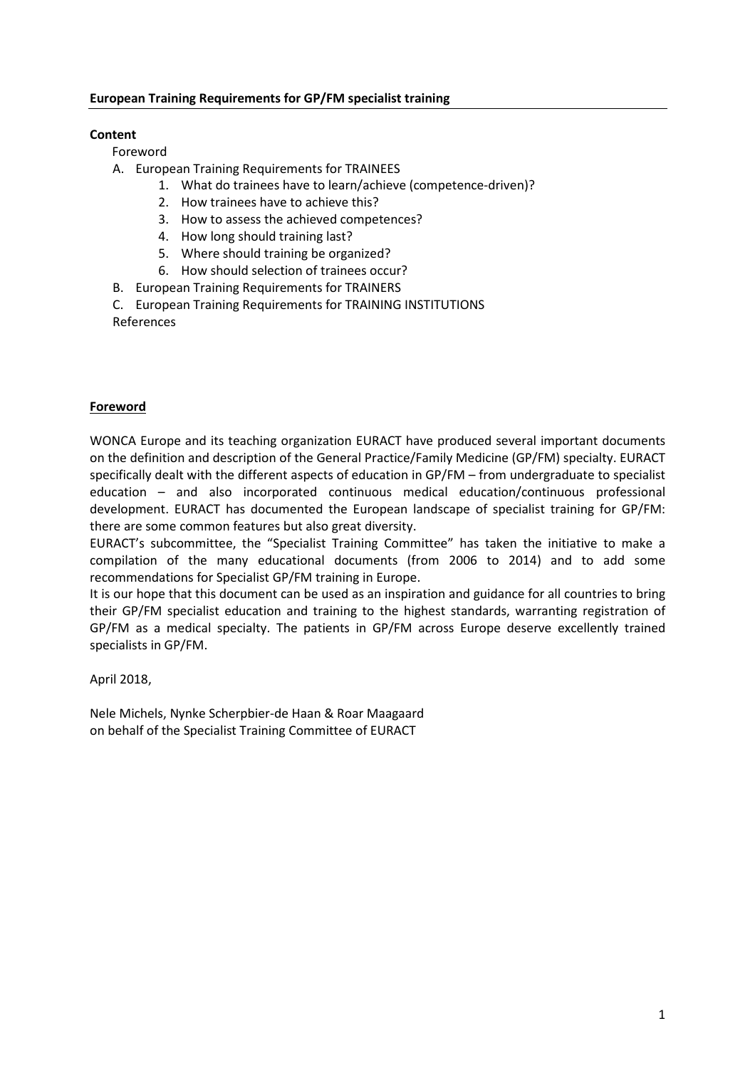#### European Training Requirements for GP/FM specialist training

### Content

Foreword

- A. European Training Requirements for TRAINEES
	- 1. What do trainees have to learn/achieve (competence-driven)?
	- 2. How trainees have to achieve this?
	- 3. How to assess the achieved competences?
	- 4. How long should training last?
	- 5. Where should training be organized?
	- 6. How should selection of trainees occur?
- B. European Training Requirements for TRAINERS
- C. European Training Requirements for TRAINING INSTITUTIONS References

#### **Foreword**

WONCA Europe and its teaching organization EURACT have produced several important documents on the definition and description of the General Practice/Family Medicine (GP/FM) specialty. EURACT specifically dealt with the different aspects of education in GP/FM – from undergraduate to specialist education – and also incorporated continuous medical education/continuous professional development. EURACT has documented the European landscape of specialist training for GP/FM: there are some common features but also great diversity.

EURACT's subcommittee, the "Specialist Training Committee" has taken the initiative to make a compilation of the many educational documents (from 2006 to 2014) and to add some recommendations for Specialist GP/FM training in Europe.

It is our hope that this document can be used as an inspiration and guidance for all countries to bring their GP/FM specialist education and training to the highest standards, warranting registration of GP/FM as a medical specialty. The patients in GP/FM across Europe deserve excellently trained specialists in GP/FM.

April 2018,

Nele Michels, Nynke Scherpbier-de Haan & Roar Maagaard on behalf of the Specialist Training Committee of EURACT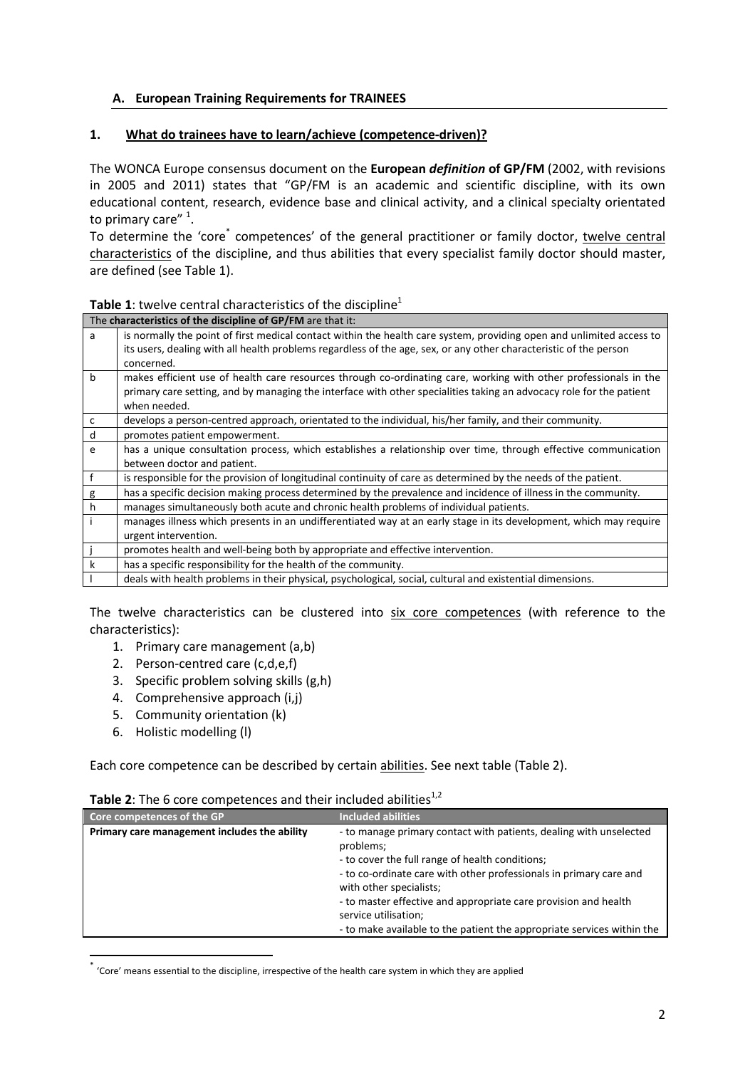## A. European Training Requirements for TRAINEES

#### 1. What do trainees have to learn/achieve (competence-driven)?

The WONCA Europe consensus document on the European definition of GP/FM (2002, with revisions in 2005 and 2011) states that "GP/FM is an academic and scientific discipline, with its own educational content, research, evidence base and clinical activity, and a clinical specialty orientated to primary care" <sup>1</sup>.

To determine the 'core<sup>\*</sup> competences' of the general practitioner or family doctor, twelve central characteristics of the discipline, and thus abilities that every specialist family doctor should master, are defined (see Table 1).

#### Table 1: twelve central characteristics of the discipline<sup>1</sup>

|             | The characteristics of the discipline of GP/FM are that it:                                                          |
|-------------|----------------------------------------------------------------------------------------------------------------------|
| a           | is normally the point of first medical contact within the health care system, providing open and unlimited access to |
|             | its users, dealing with all health problems regardless of the age, sex, or any other characteristic of the person    |
|             | concerned.                                                                                                           |
| $\mathbf b$ | makes efficient use of health care resources through co-ordinating care, working with other professionals in the     |
|             | primary care setting, and by managing the interface with other specialities taking an advocacy role for the patient  |
|             | when needed.                                                                                                         |
| c           | develops a person-centred approach, orientated to the individual, his/her family, and their community.               |
| d           | promotes patient empowerment.                                                                                        |
| e           | has a unique consultation process, which establishes a relationship over time, through effective communication       |
|             | between doctor and patient.                                                                                          |
| f           | is responsible for the provision of longitudinal continuity of care as determined by the needs of the patient.       |
| g           | has a specific decision making process determined by the prevalence and incidence of illness in the community.       |
| h           | manages simultaneously both acute and chronic health problems of individual patients.                                |
|             | manages illness which presents in an undifferentiated way at an early stage in its development, which may require    |
|             | urgent intervention.                                                                                                 |
|             | promotes health and well-being both by appropriate and effective intervention.                                       |
| k           | has a specific responsibility for the health of the community.                                                       |
|             | deals with health problems in their physical, psychological, social, cultural and existential dimensions.            |

The twelve characteristics can be clustered into six core competences (with reference to the characteristics):

- 1. Primary care management (a,b)
- 2. Person-centred care (c,d,e,f)
- 3. Specific problem solving skills (g,h)
- 4. Comprehensive approach (i,j)
- 5. Community orientation (k)
- 6. Holistic modelling (l)

Each core competence can be described by certain abilities. See next table (Table 2).

| Core competences of the GP                   | <b>Included abilities</b>                                                                                                                                                                                                                                                                                                      |
|----------------------------------------------|--------------------------------------------------------------------------------------------------------------------------------------------------------------------------------------------------------------------------------------------------------------------------------------------------------------------------------|
| Primary care management includes the ability | - to manage primary contact with patients, dealing with unselected<br>problems;<br>- to cover the full range of health conditions;<br>- to co-ordinate care with other professionals in primary care and<br>with other specialists;<br>- to master effective and appropriate care provision and health<br>service utilisation; |
|                                              | - to make available to the patient the appropriate services within the                                                                                                                                                                                                                                                         |

#### **Table 2:** The 6 core competences and their included abilities<sup>1,2</sup>

\* 'Core' means essential to the discipline, irrespective of the health care system in which they are applied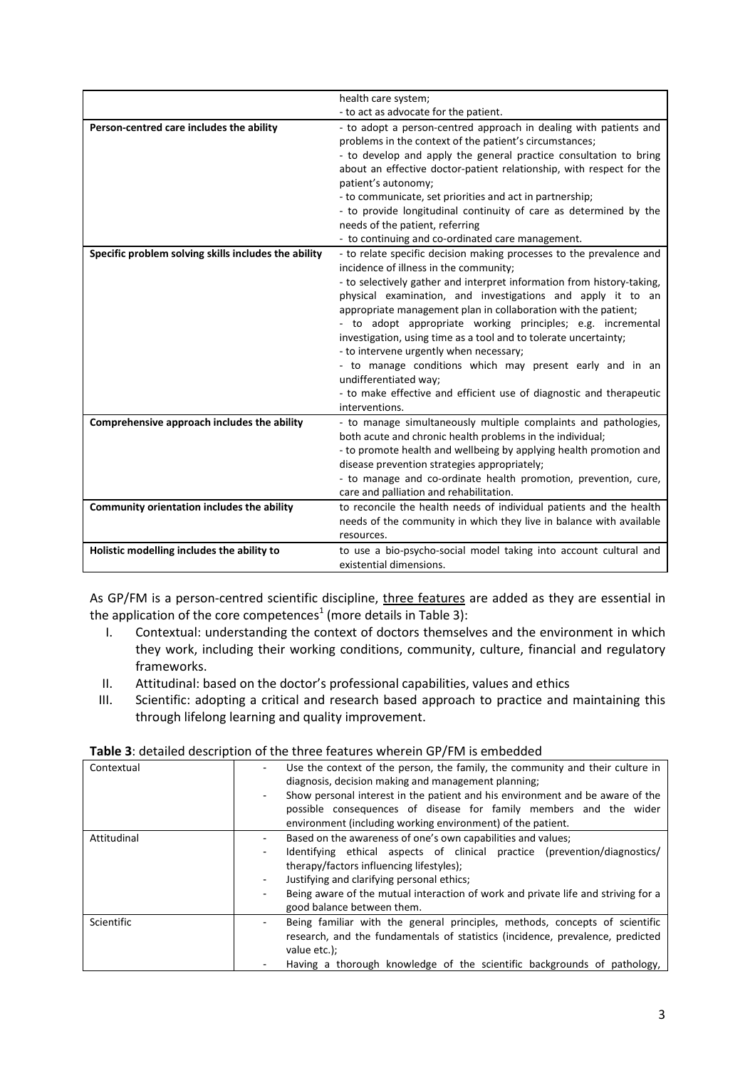|                                                      | health care system;                                                                                                                                                                                                                                                                                                                                                                                                                                                                                                                                                                                                                                                                   |
|------------------------------------------------------|---------------------------------------------------------------------------------------------------------------------------------------------------------------------------------------------------------------------------------------------------------------------------------------------------------------------------------------------------------------------------------------------------------------------------------------------------------------------------------------------------------------------------------------------------------------------------------------------------------------------------------------------------------------------------------------|
|                                                      | - to act as advocate for the patient.                                                                                                                                                                                                                                                                                                                                                                                                                                                                                                                                                                                                                                                 |
| Person-centred care includes the ability             | - to adopt a person-centred approach in dealing with patients and<br>problems in the context of the patient's circumstances;<br>- to develop and apply the general practice consultation to bring<br>about an effective doctor-patient relationship, with respect for the<br>patient's autonomy;<br>- to communicate, set priorities and act in partnership;<br>- to provide longitudinal continuity of care as determined by the<br>needs of the patient, referring<br>- to continuing and co-ordinated care management.                                                                                                                                                             |
| Specific problem solving skills includes the ability | - to relate specific decision making processes to the prevalence and<br>incidence of illness in the community;<br>- to selectively gather and interpret information from history-taking,<br>physical examination, and investigations and apply it to an<br>appropriate management plan in collaboration with the patient;<br>- to adopt appropriate working principles; e.g. incremental<br>investigation, using time as a tool and to tolerate uncertainty;<br>- to intervene urgently when necessary;<br>- to manage conditions which may present early and in an<br>undifferentiated way;<br>- to make effective and efficient use of diagnostic and therapeutic<br>interventions. |
| Comprehensive approach includes the ability          | - to manage simultaneously multiple complaints and pathologies,<br>both acute and chronic health problems in the individual;<br>- to promote health and wellbeing by applying health promotion and<br>disease prevention strategies appropriately;<br>- to manage and co-ordinate health promotion, prevention, cure,<br>care and palliation and rehabilitation.                                                                                                                                                                                                                                                                                                                      |
| Community orientation includes the ability           | to reconcile the health needs of individual patients and the health<br>needs of the community in which they live in balance with available<br>resources.                                                                                                                                                                                                                                                                                                                                                                                                                                                                                                                              |
| Holistic modelling includes the ability to           | to use a bio-psycho-social model taking into account cultural and<br>existential dimensions.                                                                                                                                                                                                                                                                                                                                                                                                                                                                                                                                                                                          |

As GP/FM is a person-centred scientific discipline, three features are added as they are essential in the application of the core competences<sup>1</sup> (more details in Table 3):

- I. Contextual: understanding the context of doctors themselves and the environment in which they work, including their working conditions, community, culture, financial and regulatory frameworks.
- II. Attitudinal: based on the doctor's professional capabilities, values and ethics
- III. Scientific: adopting a critical and research based approach to practice and maintaining this through lifelong learning and quality improvement.

| Contextual        | Use the context of the person, the family, the community and their culture in<br>diagnosis, decision making and management planning;<br>Show personal interest in the patient and his environment and be aware of the<br>$\blacksquare$<br>possible consequences of disease for family members and the wider<br>environment (including working environment) of the patient.                                    |
|-------------------|----------------------------------------------------------------------------------------------------------------------------------------------------------------------------------------------------------------------------------------------------------------------------------------------------------------------------------------------------------------------------------------------------------------|
| Attitudinal       | Based on the awareness of one's own capabilities and values;<br>Identifying ethical aspects of clinical practice (prevention/diagnostics/<br>$\overline{\phantom{a}}$<br>therapy/factors influencing lifestyles);<br>Justifying and clarifying personal ethics;<br>$\overline{\phantom{a}}$<br>Being aware of the mutual interaction of work and private life and striving for a<br>good balance between them. |
| <b>Scientific</b> | Being familiar with the general principles, methods, concepts of scientific<br>$\blacksquare$<br>research, and the fundamentals of statistics (incidence, prevalence, predicted<br>value etc.);<br>Having a thorough knowledge of the scientific backgrounds of pathology,                                                                                                                                     |

#### Table 3: detailed description of the three features wherein GP/FM is embedded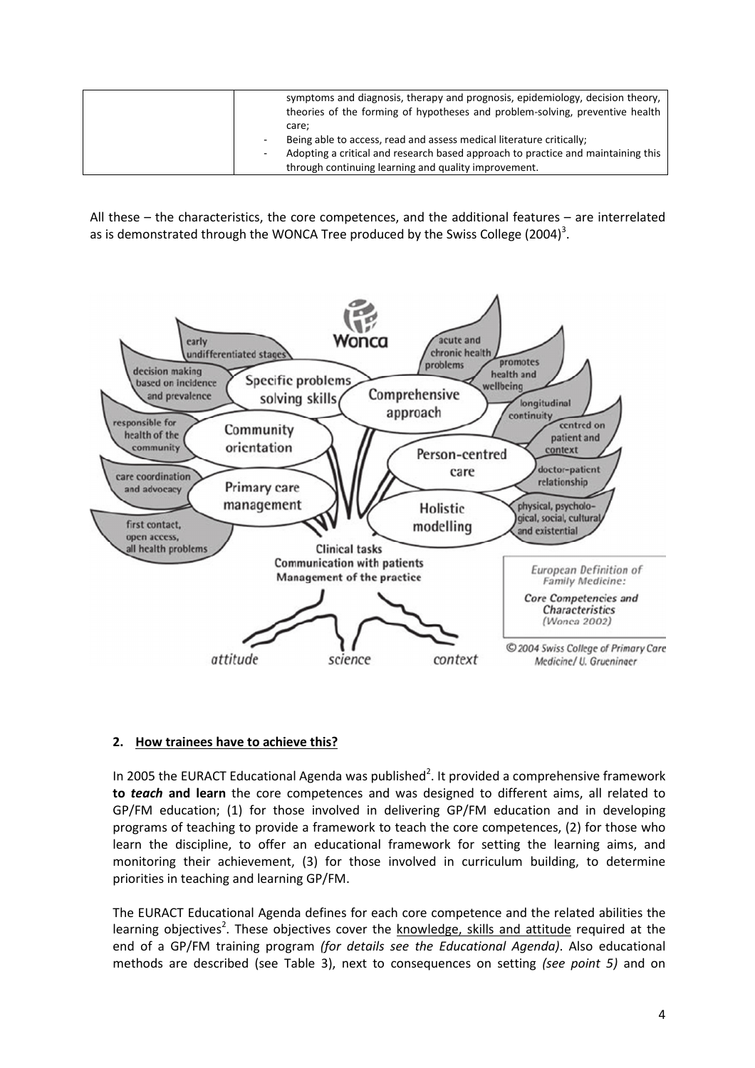|  | symptoms and diagnosis, therapy and prognosis, epidemiology, decision theory,<br>theories of the forming of hypotheses and problem-solving, preventive health |
|--|---------------------------------------------------------------------------------------------------------------------------------------------------------------|
|  | care:<br>Being able to access, read and assess medical literature critically;                                                                                 |
|  | Adopting a critical and research based approach to practice and maintaining this                                                                              |
|  | through continuing learning and quality improvement.                                                                                                          |

All these – the characteristics, the core competences, and the additional features – are interrelated as is demonstrated through the WONCA Tree produced by the Swiss College (2004)<sup>3</sup>.



## 2. How trainees have to achieve this?

In 2005 the EURACT Educational Agenda was published<sup>2</sup>. It provided a comprehensive framework to teach and learn the core competences and was designed to different aims, all related to GP/FM education; (1) for those involved in delivering GP/FM education and in developing programs of teaching to provide a framework to teach the core competences, (2) for those who learn the discipline, to offer an educational framework for setting the learning aims, and monitoring their achievement, (3) for those involved in curriculum building, to determine priorities in teaching and learning GP/FM.

The EURACT Educational Agenda defines for each core competence and the related abilities the learning objectives<sup>2</sup>. These objectives cover the knowledge, skills and attitude required at the end of a GP/FM training program (for details see the Educational Agenda). Also educational methods are described (see Table 3), next to consequences on setting (see point 5) and on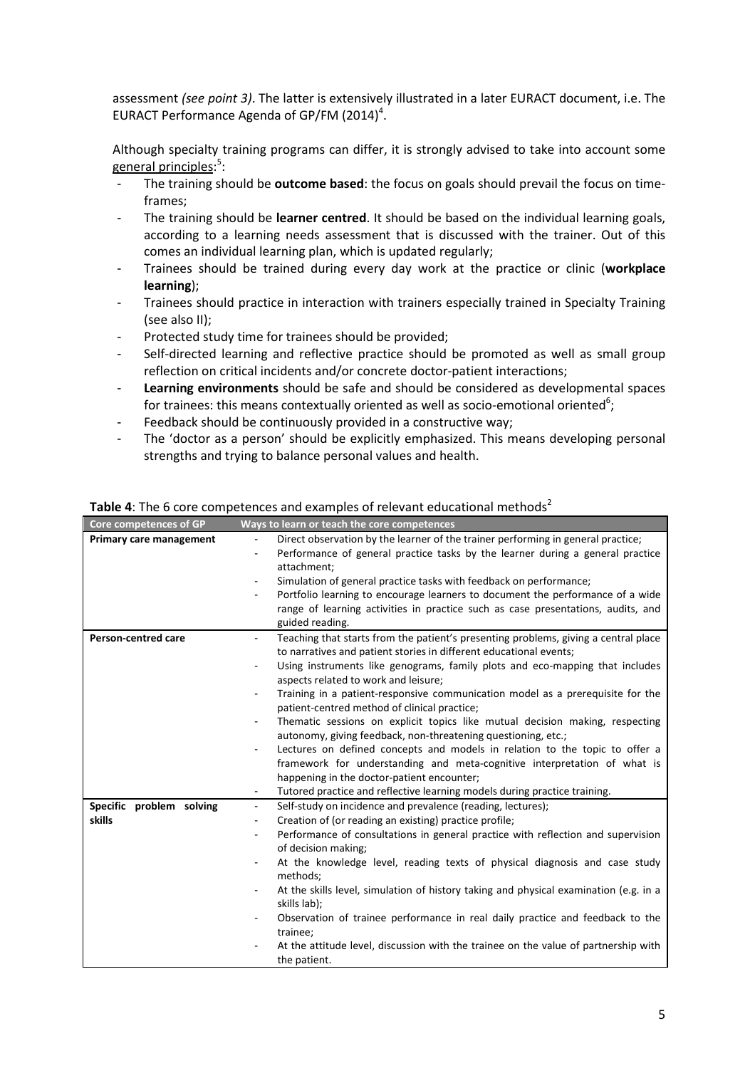assessment (see point 3). The latter is extensively illustrated in a later EURACT document, i.e. The EURACT Performance Agenda of GP/FM (2014)<sup>4</sup>.

Although specialty training programs can differ, it is strongly advised to take into account some general principles:<sup>5</sup>:

- The training should be **outcome based**: the focus on goals should prevail the focus on timeframes;
- The training should be learner centred. It should be based on the individual learning goals, according to a learning needs assessment that is discussed with the trainer. Out of this comes an individual learning plan, which is updated regularly;
- Trainees should be trained during every day work at the practice or clinic (workplace learning);
- ‐ Trainees should practice in interaction with trainers especially trained in Specialty Training (see also II);
- ‐ Protected study time for trainees should be provided;
- Self-directed learning and reflective practice should be promoted as well as small group reflection on critical incidents and/or concrete doctor-patient interactions;
- **Learning environments** should be safe and should be considered as developmental spaces for trainees: this means contextually oriented as well as socio-emotional oriented<sup>6</sup>;
- Feedback should be continuously provided in a constructive way;
- ‐ The 'doctor as a person' should be explicitly emphasized. This means developing personal strengths and trying to balance personal values and health.

| Core competences of GP         | Ways to learn or teach the core competences                                                                     |
|--------------------------------|-----------------------------------------------------------------------------------------------------------------|
| <b>Primary care management</b> | Direct observation by the learner of the trainer performing in general practice;<br>$\overline{\phantom{0}}$    |
|                                | Performance of general practice tasks by the learner during a general practice<br>$\overline{\phantom{0}}$      |
|                                | attachment;                                                                                                     |
|                                | Simulation of general practice tasks with feedback on performance;<br>$\overline{\phantom{a}}$                  |
|                                | Portfolio learning to encourage learners to document the performance of a wide<br>$\overline{\phantom{0}}$      |
|                                | range of learning activities in practice such as case presentations, audits, and                                |
|                                | guided reading.                                                                                                 |
| <b>Person-centred care</b>     | Teaching that starts from the patient's presenting problems, giving a central place<br>$\overline{\phantom{a}}$ |
|                                | to narratives and patient stories in different educational events;                                              |
|                                | Using instruments like genograms, family plots and eco-mapping that includes<br>$\overline{\phantom{0}}$        |
|                                | aspects related to work and leisure;                                                                            |
|                                | Training in a patient-responsive communication model as a prerequisite for the                                  |
|                                | patient-centred method of clinical practice;                                                                    |
|                                | Thematic sessions on explicit topics like mutual decision making, respecting                                    |
|                                | autonomy, giving feedback, non-threatening questioning, etc.;                                                   |
|                                | Lectures on defined concepts and models in relation to the topic to offer a<br>$\overline{\phantom{a}}$         |
|                                | framework for understanding and meta-cognitive interpretation of what is                                        |
|                                | happening in the doctor-patient encounter;                                                                      |
|                                | Tutored practice and reflective learning models during practice training.<br>$\blacksquare$                     |
| Specific problem solving       | Self-study on incidence and prevalence (reading, lectures);<br>$\overline{\phantom{0}}$                         |
| skills                         | Creation of (or reading an existing) practice profile;<br>$\overline{\phantom{0}}$                              |
|                                | Performance of consultations in general practice with reflection and supervision<br>$\overline{\phantom{0}}$    |
|                                | of decision making;                                                                                             |
|                                | At the knowledge level, reading texts of physical diagnosis and case study                                      |
|                                | methods;                                                                                                        |
|                                | At the skills level, simulation of history taking and physical examination (e.g. in a                           |
|                                | skills lab);                                                                                                    |
|                                | Observation of trainee performance in real daily practice and feedback to the<br>۰                              |
|                                | trainee;                                                                                                        |
|                                | At the attitude level, discussion with the trainee on the value of partnership with                             |
|                                | the patient.                                                                                                    |

Table 4: The 6 core competences and examples of relevant educational methods<sup>2</sup>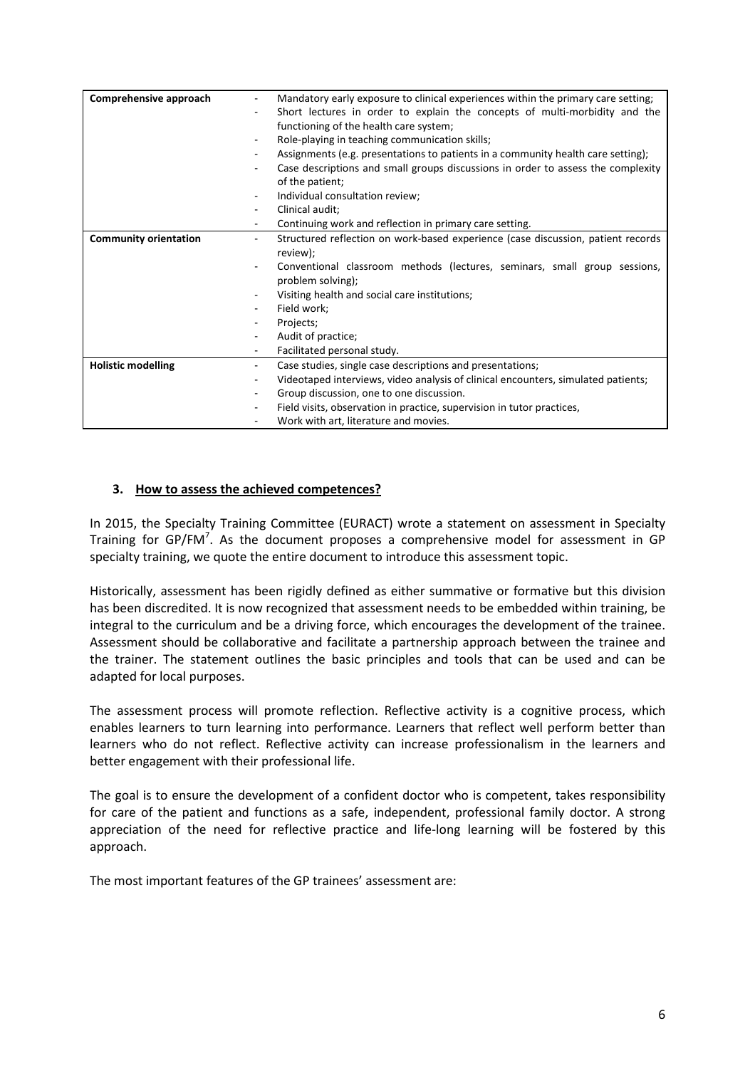| Comprehensive approach                                   |                          | Mandatory early exposure to clinical experiences within the primary care setting; |
|----------------------------------------------------------|--------------------------|-----------------------------------------------------------------------------------|
|                                                          |                          | Short lectures in order to explain the concepts of multi-morbidity and the        |
|                                                          |                          | functioning of the health care system;                                            |
|                                                          |                          | Role-playing in teaching communication skills;                                    |
|                                                          | Ξ.                       | Assignments (e.g. presentations to patients in a community health care setting);  |
|                                                          | ٠                        | Case descriptions and small groups discussions in order to assess the complexity  |
|                                                          |                          | of the patient;                                                                   |
|                                                          | Ξ.                       | Individual consultation review;                                                   |
|                                                          | Ξ.                       | Clinical audit;                                                                   |
|                                                          | Ξ.                       | Continuing work and reflection in primary care setting.                           |
| <b>Community orientation</b><br>$\overline{\phantom{0}}$ |                          | Structured reflection on work-based experience (case discussion, patient records  |
|                                                          |                          | review);                                                                          |
|                                                          |                          | Conventional classroom methods (lectures, seminars, small group sessions,         |
|                                                          |                          | problem solving);                                                                 |
|                                                          |                          | Visiting health and social care institutions;                                     |
|                                                          |                          | Field work;                                                                       |
|                                                          |                          | Projects;                                                                         |
|                                                          |                          | Audit of practice;                                                                |
|                                                          | $\overline{\phantom{0}}$ | Facilitated personal study.                                                       |
| <b>Holistic modelling</b>                                | $\overline{\phantom{0}}$ | Case studies, single case descriptions and presentations;                         |
|                                                          |                          | Videotaped interviews, video analysis of clinical encounters, simulated patients; |
|                                                          | Ξ.                       | Group discussion, one to one discussion.                                          |
|                                                          | -                        | Field visits, observation in practice, supervision in tutor practices,            |
|                                                          |                          | Work with art, literature and movies.                                             |

## 3. How to assess the achieved competences?

In 2015, the Specialty Training Committee (EURACT) wrote a statement on assessment in Specialty Training for GP/FM<sup>7</sup>. As the document proposes a comprehensive model for assessment in GP specialty training, we quote the entire document to introduce this assessment topic.

Historically, assessment has been rigidly defined as either summative or formative but this division has been discredited. It is now recognized that assessment needs to be embedded within training, be integral to the curriculum and be a driving force, which encourages the development of the trainee. Assessment should be collaborative and facilitate a partnership approach between the trainee and the trainer. The statement outlines the basic principles and tools that can be used and can be adapted for local purposes.

The assessment process will promote reflection. Reflective activity is a cognitive process, which enables learners to turn learning into performance. Learners that reflect well perform better than learners who do not reflect. Reflective activity can increase professionalism in the learners and better engagement with their professional life.

The goal is to ensure the development of a confident doctor who is competent, takes responsibility for care of the patient and functions as a safe, independent, professional family doctor. A strong appreciation of the need for reflective practice and life-long learning will be fostered by this approach.

The most important features of the GP trainees' assessment are: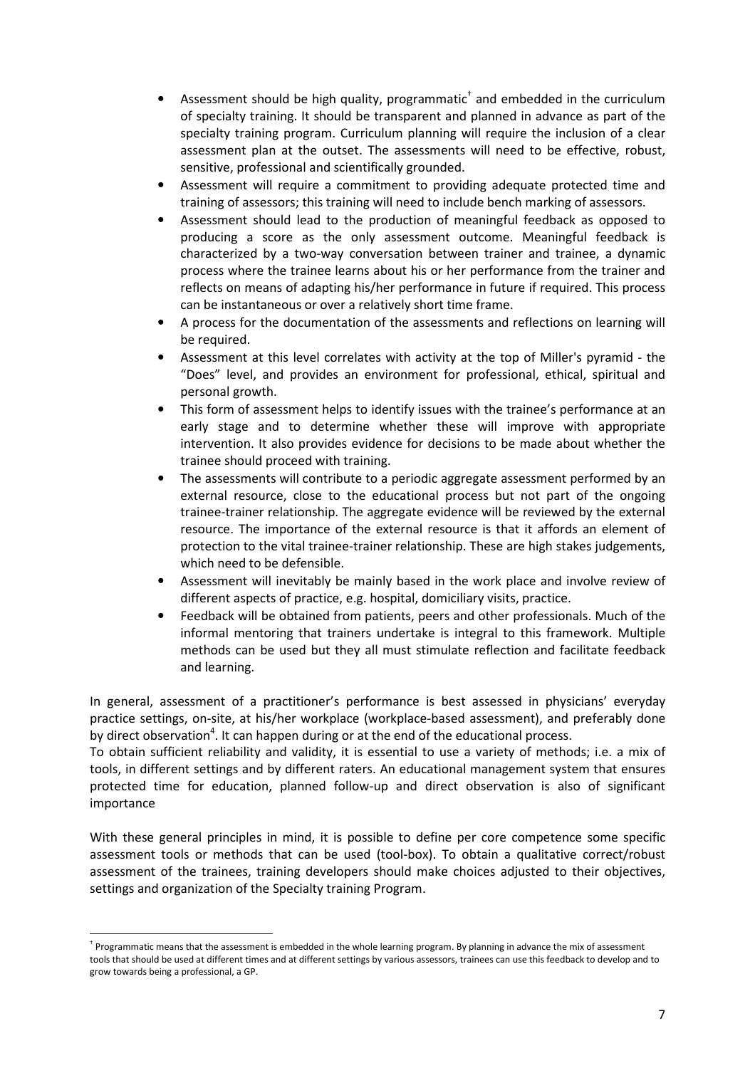- Assessment should be high quality, programmatic<sup>†</sup> and embedded in the curriculum of specialty training. It should be transparent and planned in advance as part of the specialty training program. Curriculum planning will require the inclusion of a clear assessment plan at the outset. The assessments will need to be effective, robust, sensitive, professional and scientifically grounded.
- Assessment will require a commitment to providing adequate protected time and training of assessors; this training will need to include bench marking of assessors.
- Assessment should lead to the production of meaningful feedback as opposed to producing a score as the only assessment outcome. Meaningful feedback is characterized by a two-way conversation between trainer and trainee, a dynamic process where the trainee learns about his or her performance from the trainer and reflects on means of adapting his/her performance in future if required. This process can be instantaneous or over a relatively short time frame.
- A process for the documentation of the assessments and reflections on learning will be required.
- Assessment at this level correlates with activity at the top of Miller's pyramid the "Does" level, and provides an environment for professional, ethical, spiritual and personal growth.
- This form of assessment helps to identify issues with the trainee's performance at an early stage and to determine whether these will improve with appropriate intervention. It also provides evidence for decisions to be made about whether the trainee should proceed with training.
- The assessments will contribute to a periodic aggregate assessment performed by an external resource, close to the educational process but not part of the ongoing trainee-trainer relationship. The aggregate evidence will be reviewed by the external resource. The importance of the external resource is that it affords an element of protection to the vital trainee-trainer relationship. These are high stakes judgements, which need to be defensible.
- Assessment will inevitably be mainly based in the work place and involve review of different aspects of practice, e.g. hospital, domiciliary visits, practice.
- Feedback will be obtained from patients, peers and other professionals. Much of the informal mentoring that trainers undertake is integral to this framework. Multiple methods can be used but they all must stimulate reflection and facilitate feedback and learning.

In general, assessment of a practitioner's performance is best assessed in physicians' everyday practice settings, on-site, at his/her workplace (workplace-based assessment), and preferably done by direct observation<sup>4</sup>. It can happen during or at the end of the educational process.

To obtain sufficient reliability and validity, it is essential to use a variety of methods; i.e. a mix of tools, in different settings and by different raters. An educational management system that ensures protected time for education, planned follow-up and direct observation is also of significant importance

With these general principles in mind, it is possible to define per core competence some specific assessment tools or methods that can be used (tool-box). To obtain a qualitative correct/robust assessment of the trainees, training developers should make choices adjusted to their objectives, settings and organization of the Specialty training Program.

l

<sup>†</sup> Programmatic means that the assessment is embedded in the whole learning program. By planning in advance the mix of assessment tools that should be used at different times and at different settings by various assessors, trainees can use this feedback to develop and to grow towards being a professional, a GP.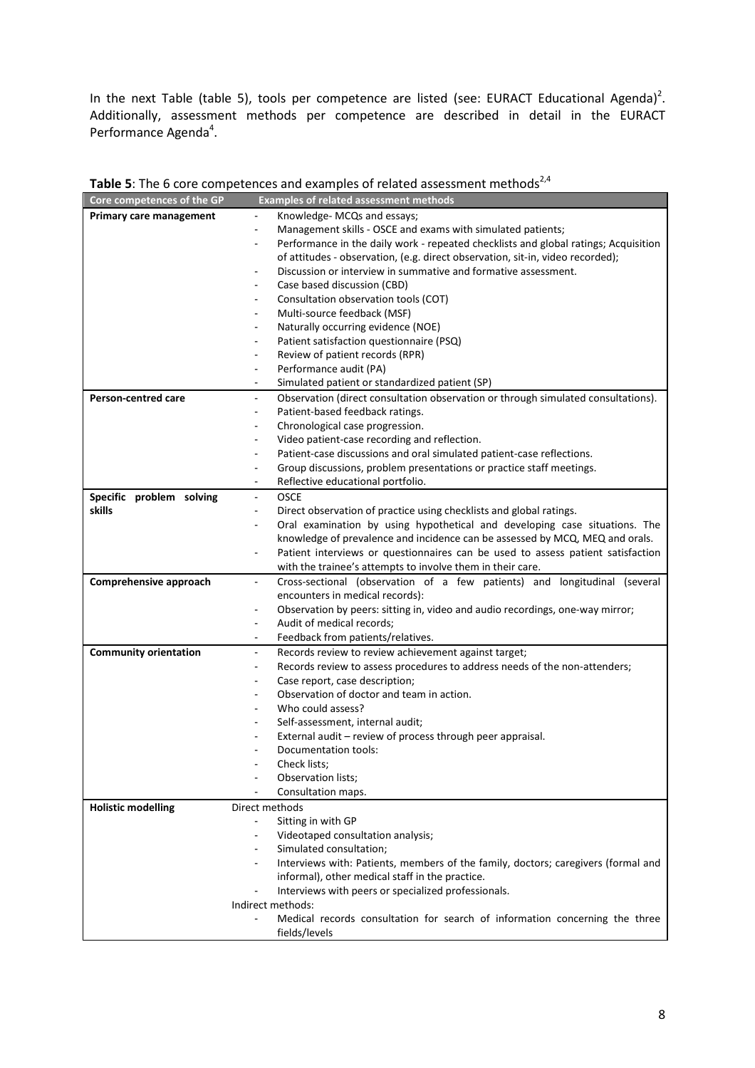In the next Table (table 5), tools per competence are listed (see: EURACT Educational Agenda)<sup>2</sup>. Additionally, assessment methods per competence are described in detail in the EURACT Performance Agenda<sup>4</sup>.

| Core competences of the GP   | <b>Examples of related assessment methods</b>                                                                 |
|------------------------------|---------------------------------------------------------------------------------------------------------------|
| Primary care management      | Knowledge- MCQs and essays;<br>$\overline{\phantom{0}}$                                                       |
|                              | Management skills - OSCE and exams with simulated patients;<br>$\overline{a}$                                 |
|                              | Performance in the daily work - repeated checklists and global ratings; Acquisition<br>۰                      |
|                              | of attitudes - observation, (e.g. direct observation, sit-in, video recorded);                                |
|                              | Discussion or interview in summative and formative assessment.                                                |
|                              | Case based discussion (CBD)                                                                                   |
|                              | Consultation observation tools (COT)                                                                          |
|                              | Multi-source feedback (MSF)                                                                                   |
|                              | Naturally occurring evidence (NOE)<br>۰                                                                       |
|                              | Patient satisfaction questionnaire (PSQ)                                                                      |
|                              | Review of patient records (RPR)                                                                               |
|                              | Performance audit (PA)<br>$\overline{a}$                                                                      |
|                              | Simulated patient or standardized patient (SP)                                                                |
| Person-centred care          | Observation (direct consultation observation or through simulated consultations).<br>$\overline{\phantom{0}}$ |
|                              | Patient-based feedback ratings.<br>$\overline{a}$                                                             |
|                              | Chronological case progression.<br>$\overline{a}$                                                             |
|                              | Video patient-case recording and reflection.<br>$\overline{a}$                                                |
|                              | Patient-case discussions and oral simulated patient-case reflections.                                         |
|                              | Group discussions, problem presentations or practice staff meetings.<br>$\overline{a}$                        |
|                              | Reflective educational portfolio.                                                                             |
| Specific problem solving     | <b>OSCE</b><br>٠                                                                                              |
| skills                       | Direct observation of practice using checklists and global ratings.<br>٠                                      |
|                              | Oral examination by using hypothetical and developing case situations. The<br>٠                               |
|                              | knowledge of prevalence and incidence can be assessed by MCQ, MEQ and orals.                                  |
|                              | Patient interviews or questionnaires can be used to assess patient satisfaction<br>٠                          |
|                              | with the trainee's attempts to involve them in their care.                                                    |
| Comprehensive approach       | Cross-sectional (observation of a few patients) and longitudinal (several<br>÷,                               |
|                              | encounters in medical records):                                                                               |
|                              | Observation by peers: sitting in, video and audio recordings, one-way mirror;<br>٠                            |
|                              | Audit of medical records;<br>$\overline{\phantom{0}}$                                                         |
|                              | Feedback from patients/relatives.<br>-                                                                        |
| <b>Community orientation</b> | Records review to review achievement against target;<br>$\overline{\phantom{0}}$                              |
|                              | Records review to assess procedures to address needs of the non-attenders;<br>$\overline{a}$                  |
|                              | Case report, case description;<br>۰                                                                           |
|                              | Observation of doctor and team in action.                                                                     |
|                              | Who could assess?                                                                                             |
|                              | Self-assessment, internal audit;<br>٠                                                                         |
|                              | External audit - review of process through peer appraisal.                                                    |
|                              | Documentation tools:                                                                                          |
|                              | Check lists;                                                                                                  |
|                              | Observation lists;                                                                                            |
|                              | Consultation maps.                                                                                            |
| <b>Holistic modelling</b>    | Direct methods                                                                                                |
|                              | Sitting in with GP<br>$\overline{\phantom{0}}$                                                                |
|                              | Videotaped consultation analysis;                                                                             |
|                              | Simulated consultation;                                                                                       |
|                              | Interviews with: Patients, members of the family, doctors; caregivers (formal and                             |
|                              | informal), other medical staff in the practice.                                                               |
|                              | Interviews with peers or specialized professionals.                                                           |
|                              | Indirect methods:                                                                                             |
|                              | Medical records consultation for search of information concerning the three                                   |
|                              | fields/levels                                                                                                 |
|                              |                                                                                                               |

Table 5: The 6 core competences and examples of related assessment methods<sup>2,4</sup>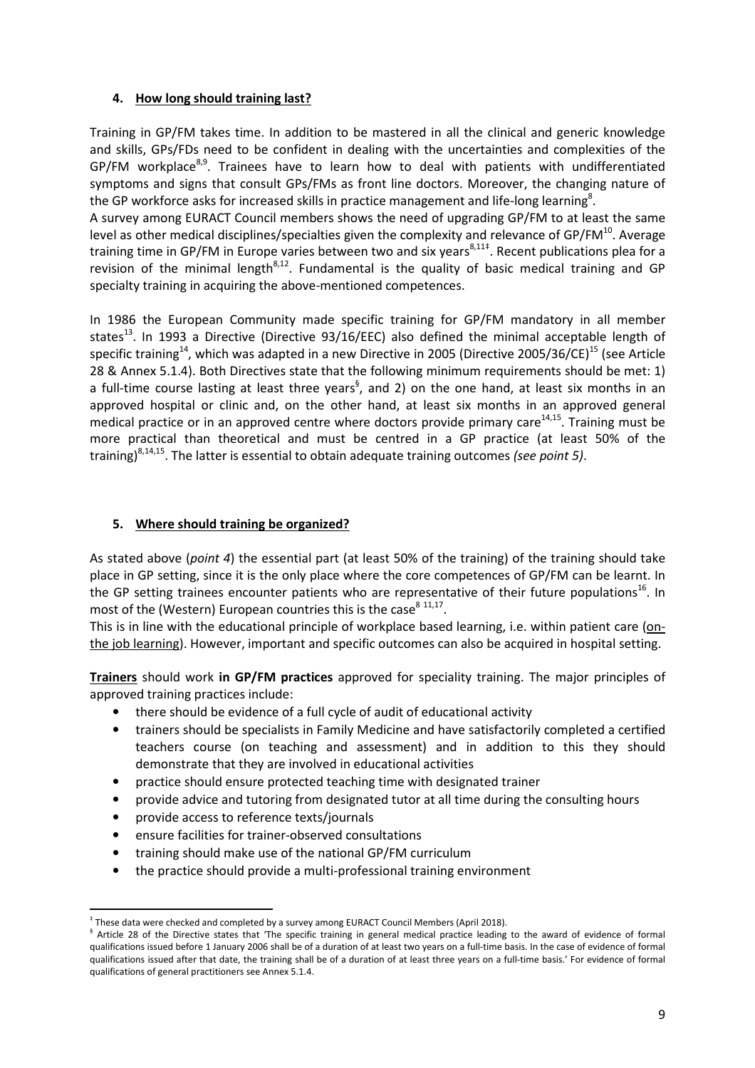# 4. How long should training last?

Training in GP/FM takes time. In addition to be mastered in all the clinical and generic knowledge and skills, GPs/FDs need to be confident in dealing with the uncertainties and complexities of the  $GP/FM$  workplace<sup>8,9</sup>. Trainees have to learn how to deal with patients with undifferentiated symptoms and signs that consult GPs/FMs as front line doctors. Moreover, the changing nature of the GP workforce asks for increased skills in practice management and life-long learning<sup>8</sup>.

A survey among EURACT Council members shows the need of upgrading GP/FM to at least the same level as other medical disciplines/specialties given the complexity and relevance of GP/FM<sup>10</sup>. Average training time in GP/FM in Europe varies between two and six years<sup>8,11‡</sup>. Recent publications plea for a revision of the minimal length $8,12$ . Fundamental is the quality of basic medical training and GP specialty training in acquiring the above-mentioned competences.

In 1986 the European Community made specific training for GP/FM mandatory in all member states<sup>13</sup>. In 1993 a Directive (Directive 93/16/EEC) also defined the minimal acceptable length of specific training<sup>14</sup>, which was adapted in a new Directive in 2005 (Directive 2005/36/CE)<sup>15</sup> (see Article 28 & Annex 5.1.4). Both Directives state that the following minimum requirements should be met: 1) a full-time course lasting at least three years<sup>§</sup>, and 2) on the one hand, at least six months in an approved hospital or clinic and, on the other hand, at least six months in an approved general medical practice or in an approved centre where doctors provide primary care<sup>14,15</sup>. Training must be more practical than theoretical and must be centred in a GP practice (at least 50% of the training)<sup>8,14,15</sup>. The latter is essential to obtain adequate training outcomes (see point 5).

#### 5. Where should training be organized?

As stated above (point 4) the essential part (at least 50% of the training) of the training should take place in GP setting, since it is the only place where the core competences of GP/FM can be learnt. In the GP setting trainees encounter patients who are representative of their future populations<sup>16</sup>. In most of the (Western) European countries this is the case $^{8}$   $^{11,17}$ .

This is in line with the educational principle of workplace based learning, i.e. within patient care (onthe job learning). However, important and specific outcomes can also be acquired in hospital setting.

Trainers should work in GP/FM practices approved for speciality training. The major principles of approved training practices include:

- there should be evidence of a full cycle of audit of educational activity
- trainers should be specialists in Family Medicine and have satisfactorily completed a certified teachers course (on teaching and assessment) and in addition to this they should demonstrate that they are involved in educational activities
- practice should ensure protected teaching time with designated trainer
- provide advice and tutoring from designated tutor at all time during the consulting hours
- provide access to reference texts/journals
- ensure facilities for trainer-observed consultations
- training should make use of the national GP/FM curriculum
- the practice should provide a multi-professional training environment

l ‡ These data were checked and completed by a survey among EURACT Council Members (April 2018).

<sup>&</sup>lt;sup>§</sup> Article 28 of the Directive states that 'The specific training in general medical practice leading to the award of evidence of formal qualifications issued before 1 January 2006 shall be of a duration of at least two years on a full-time basis. In the case of evidence of formal qualifications issued after that date, the training shall be of a duration of at least three years on a full-time basis.' For evidence of formal qualifications of general practitioners see Annex 5.1.4.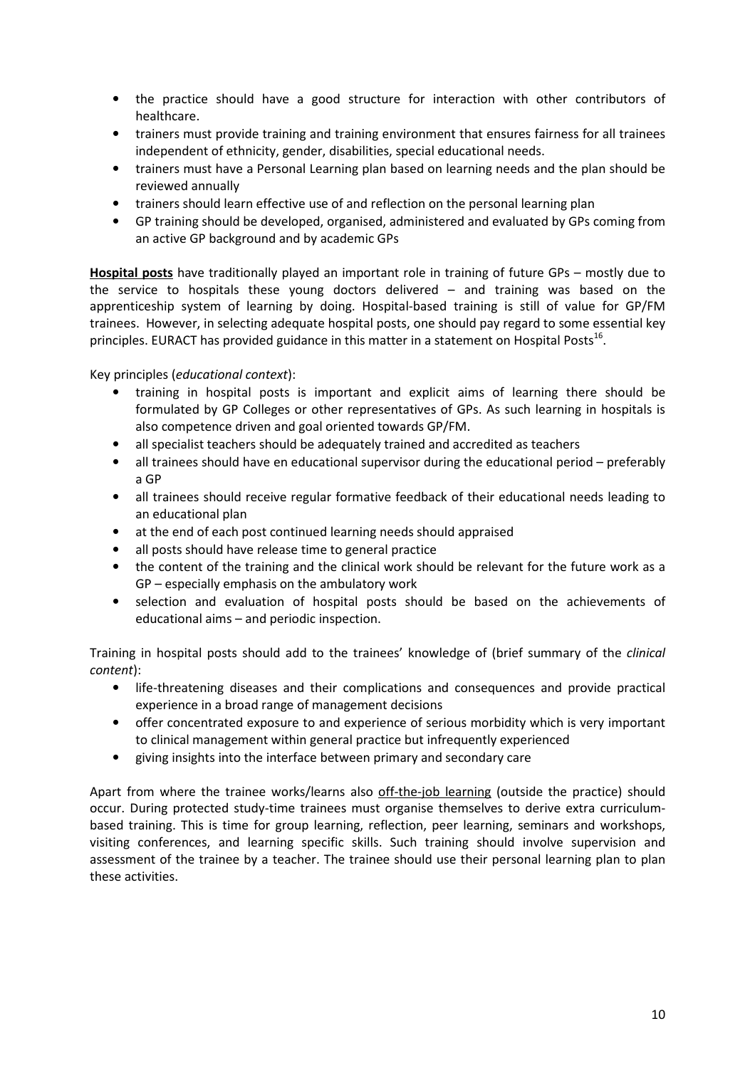- the practice should have a good structure for interaction with other contributors of healthcare.
- trainers must provide training and training environment that ensures fairness for all trainees independent of ethnicity, gender, disabilities, special educational needs.
- trainers must have a Personal Learning plan based on learning needs and the plan should be reviewed annually
- trainers should learn effective use of and reflection on the personal learning plan
- GP training should be developed, organised, administered and evaluated by GPs coming from an active GP background and by academic GPs

Hospital posts have traditionally played an important role in training of future GPs – mostly due to the service to hospitals these young doctors delivered – and training was based on the apprenticeship system of learning by doing. Hospital-based training is still of value for GP/FM trainees. However, in selecting adequate hospital posts, one should pay regard to some essential key principles. EURACT has provided guidance in this matter in a statement on Hospital Posts<sup>16</sup>.

Key principles (educational context):

- training in hospital posts is important and explicit aims of learning there should be formulated by GP Colleges or other representatives of GPs. As such learning in hospitals is also competence driven and goal oriented towards GP/FM.
- all specialist teachers should be adequately trained and accredited as teachers
- all trainees should have en educational supervisor during the educational period preferably a GP
- all trainees should receive regular formative feedback of their educational needs leading to an educational plan
- at the end of each post continued learning needs should appraised
- all posts should have release time to general practice
- the content of the training and the clinical work should be relevant for the future work as a GP – especially emphasis on the ambulatory work
- selection and evaluation of hospital posts should be based on the achievements of educational aims – and periodic inspection.

Training in hospital posts should add to the trainees' knowledge of (brief summary of the clinical content):

- life-threatening diseases and their complications and consequences and provide practical experience in a broad range of management decisions
- offer concentrated exposure to and experience of serious morbidity which is very important to clinical management within general practice but infrequently experienced
- giving insights into the interface between primary and secondary care

Apart from where the trainee works/learns also off-the-job learning (outside the practice) should occur. During protected study-time trainees must organise themselves to derive extra curriculumbased training. This is time for group learning, reflection, peer learning, seminars and workshops, visiting conferences, and learning specific skills. Such training should involve supervision and assessment of the trainee by a teacher. The trainee should use their personal learning plan to plan these activities.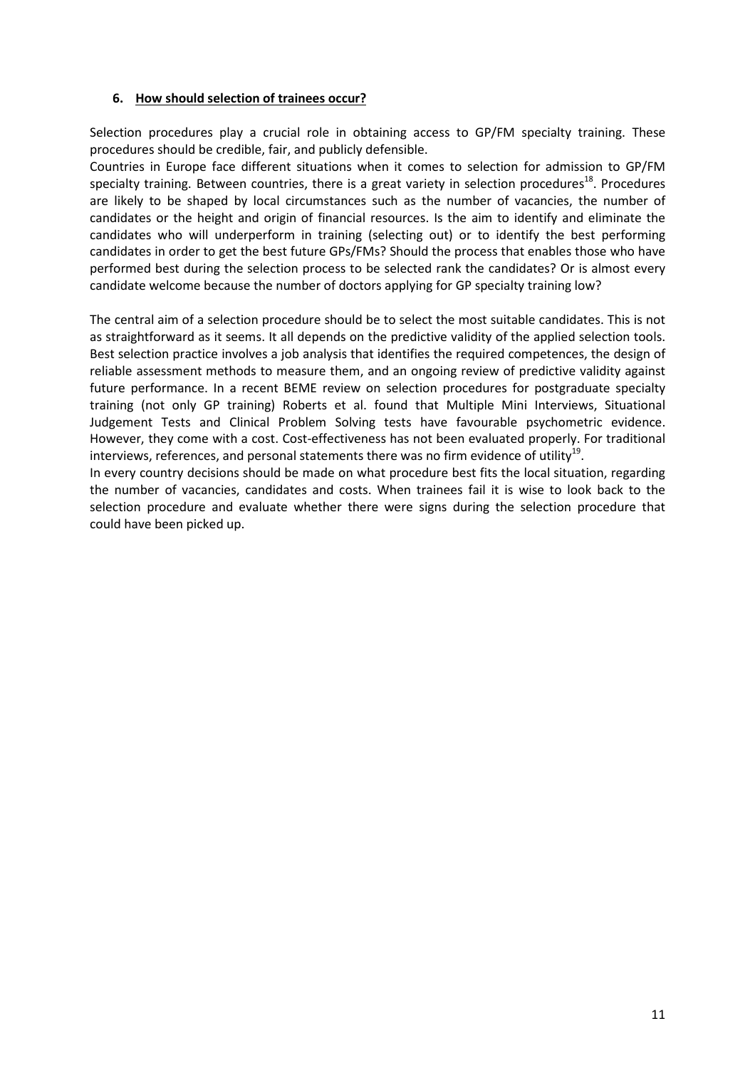## 6. How should selection of trainees occur?

Selection procedures play a crucial role in obtaining access to GP/FM specialty training. These procedures should be credible, fair, and publicly defensible.

Countries in Europe face different situations when it comes to selection for admission to GP/FM specialty training. Between countries, there is a great variety in selection procedures<sup>18</sup>. Procedures are likely to be shaped by local circumstances such as the number of vacancies, the number of candidates or the height and origin of financial resources. Is the aim to identify and eliminate the candidates who will underperform in training (selecting out) or to identify the best performing candidates in order to get the best future GPs/FMs? Should the process that enables those who have performed best during the selection process to be selected rank the candidates? Or is almost every candidate welcome because the number of doctors applying for GP specialty training low?

The central aim of a selection procedure should be to select the most suitable candidates. This is not as straightforward as it seems. It all depends on the predictive validity of the applied selection tools. Best selection practice involves a job analysis that identifies the required competences, the design of reliable assessment methods to measure them, and an ongoing review of predictive validity against future performance. In a recent BEME review on selection procedures for postgraduate specialty training (not only GP training) Roberts et al. found that Multiple Mini Interviews, Situational Judgement Tests and Clinical Problem Solving tests have favourable psychometric evidence. However, they come with a cost. Cost-effectiveness has not been evaluated properly. For traditional interviews, references, and personal statements there was no firm evidence of utility<sup>19</sup>.

In every country decisions should be made on what procedure best fits the local situation, regarding the number of vacancies, candidates and costs. When trainees fail it is wise to look back to the selection procedure and evaluate whether there were signs during the selection procedure that could have been picked up.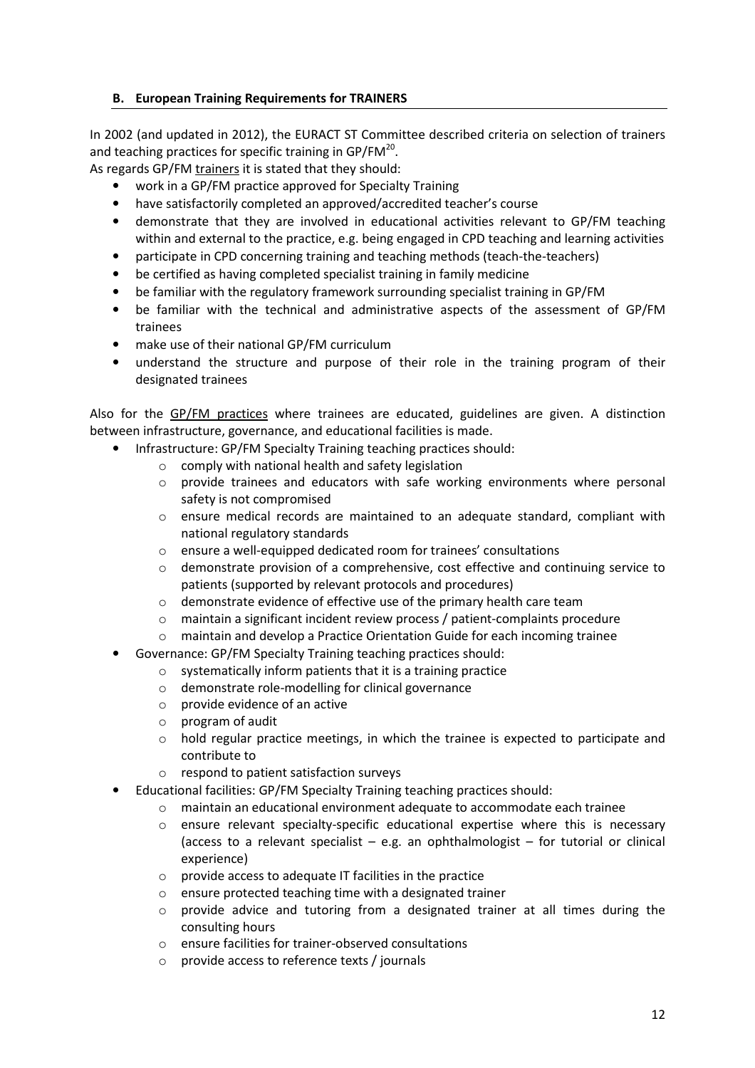### B. European Training Requirements for TRAINERS

In 2002 (and updated in 2012), the EURACT ST Committee described criteria on selection of trainers and teaching practices for specific training in GP/FM $^{20}$ .

As regards GP/FM trainers it is stated that they should:

- work in a GP/FM practice approved for Specialty Training
- have satisfactorily completed an approved/accredited teacher's course
- demonstrate that they are involved in educational activities relevant to GP/FM teaching within and external to the practice, e.g. being engaged in CPD teaching and learning activities
- participate in CPD concerning training and teaching methods (teach-the-teachers)
- be certified as having completed specialist training in family medicine
- be familiar with the regulatory framework surrounding specialist training in GP/FM
- be familiar with the technical and administrative aspects of the assessment of GP/FM trainees
- make use of their national GP/FM curriculum
- understand the structure and purpose of their role in the training program of their designated trainees

Also for the GP/FM practices where trainees are educated, guidelines are given. A distinction between infrastructure, governance, and educational facilities is made.

- Infrastructure: GP/FM Specialty Training teaching practices should:
	- o comply with national health and safety legislation
	- $\circ$  provide trainees and educators with safe working environments where personal safety is not compromised
	- o ensure medical records are maintained to an adequate standard, compliant with national regulatory standards
	- o ensure a well-equipped dedicated room for trainees' consultations
	- $\circ$  demonstrate provision of a comprehensive, cost effective and continuing service to patients (supported by relevant protocols and procedures)
	- $\circ$  demonstrate evidence of effective use of the primary health care team
	- $\circ$  maintain a significant incident review process / patient-complaints procedure
	- o maintain and develop a Practice Orientation Guide for each incoming trainee
- Governance: GP/FM Specialty Training teaching practices should:
	- o systematically inform patients that it is a training practice
	- o demonstrate role-modelling for clinical governance
	- o provide evidence of an active
	- o program of audit
	- $\circ$  hold regular practice meetings, in which the trainee is expected to participate and contribute to
	- o respond to patient satisfaction surveys
- Educational facilities: GP/FM Specialty Training teaching practices should:
	- o maintain an educational environment adequate to accommodate each trainee
	- $\circ$  ensure relevant specialty-specific educational expertise where this is necessary (access to a relevant specialist  $-$  e.g. an ophthalmologist  $-$  for tutorial or clinical experience)
	- o provide access to adequate IT facilities in the practice
	- o ensure protected teaching time with a designated trainer
	- $\circ$  provide advice and tutoring from a designated trainer at all times during the consulting hours
	- o ensure facilities for trainer-observed consultations
	- provide access to reference texts / journals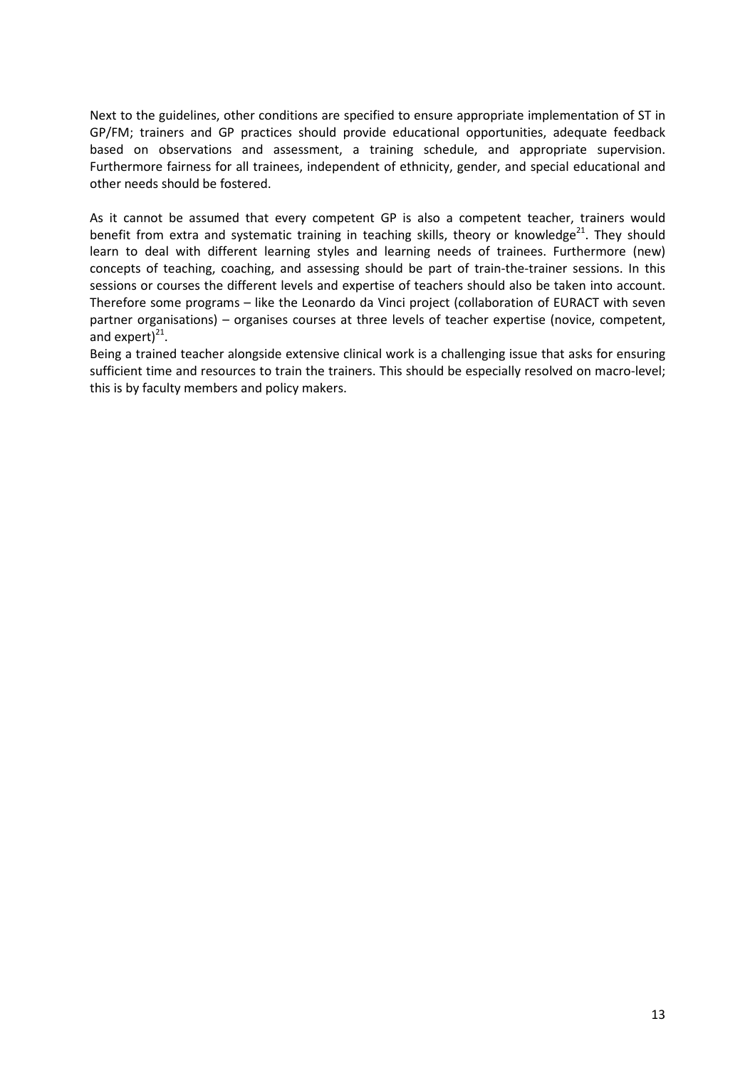Next to the guidelines, other conditions are specified to ensure appropriate implementation of ST in GP/FM; trainers and GP practices should provide educational opportunities, adequate feedback based on observations and assessment, a training schedule, and appropriate supervision. Furthermore fairness for all trainees, independent of ethnicity, gender, and special educational and other needs should be fostered.

As it cannot be assumed that every competent GP is also a competent teacher, trainers would benefit from extra and systematic training in teaching skills, theory or knowledge $^{21}$ . They should learn to deal with different learning styles and learning needs of trainees. Furthermore (new) concepts of teaching, coaching, and assessing should be part of train-the-trainer sessions. In this sessions or courses the different levels and expertise of teachers should also be taken into account. Therefore some programs – like the Leonardo da Vinci project (collaboration of EURACT with seven partner organisations) – organises courses at three levels of teacher expertise (novice, competent, and expert) $^{21}$ .

Being a trained teacher alongside extensive clinical work is a challenging issue that asks for ensuring sufficient time and resources to train the trainers. This should be especially resolved on macro-level; this is by faculty members and policy makers.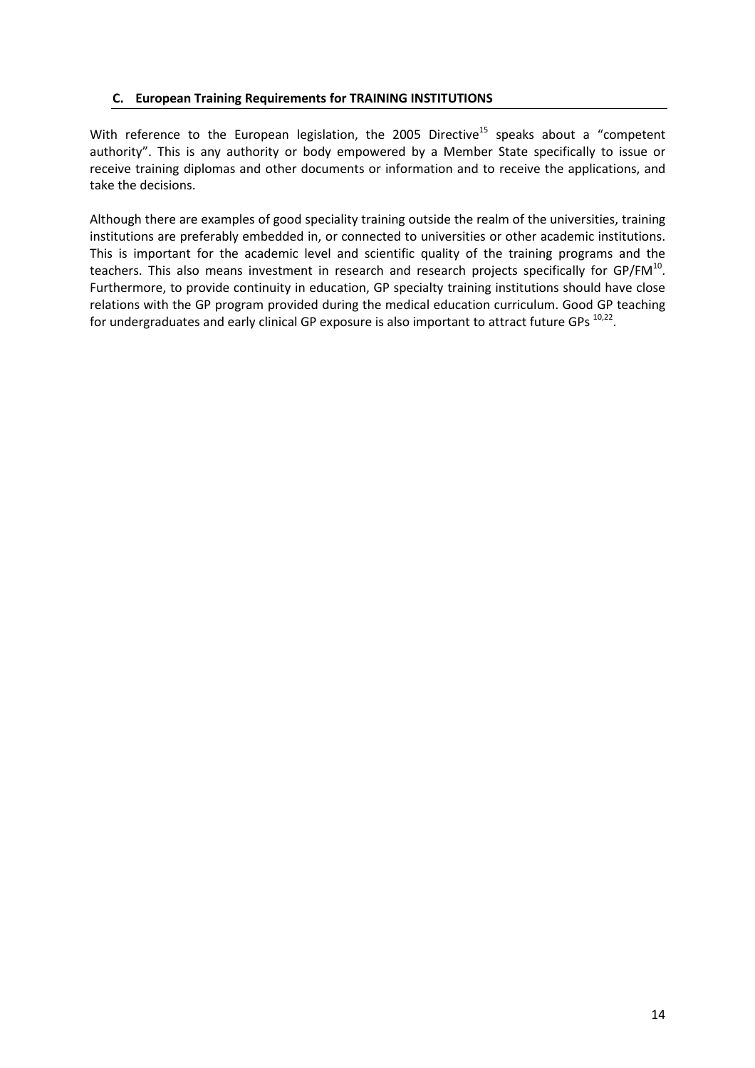## C. European Training Requirements for TRAINING INSTITUTIONS

With reference to the European legislation, the 2005 Directive<sup>15</sup> speaks about a "competent" authority". This is any authority or body empowered by a Member State specifically to issue or receive training diplomas and other documents or information and to receive the applications, and take the decisions.

Although there are examples of good speciality training outside the realm of the universities, training institutions are preferably embedded in, or connected to universities or other academic institutions. This is important for the academic level and scientific quality of the training programs and the teachers. This also means investment in research and research projects specifically for GP/FM $^{10}$ . Furthermore, to provide continuity in education, GP specialty training institutions should have close relations with the GP program provided during the medical education curriculum. Good GP teaching for undergraduates and early clinical GP exposure is also important to attract future GPs  $^{10,22}$ .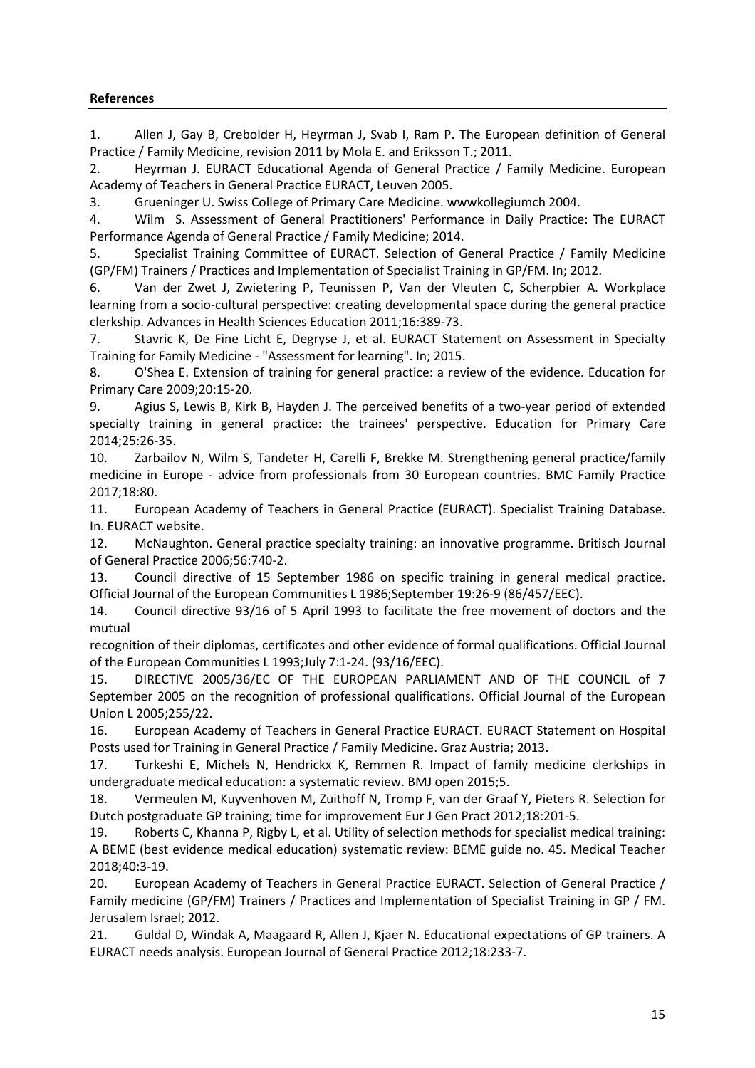## References

1. Allen J, Gay B, Crebolder H, Heyrman J, Svab I, Ram P. The European definition of General Practice / Family Medicine, revision 2011 by Mola E. and Eriksson T.; 2011.

2. Heyrman J. EURACT Educational Agenda of General Practice / Family Medicine. European Academy of Teachers in General Practice EURACT, Leuven 2005.

3. Grueninger U. Swiss College of Primary Care Medicine. wwwkollegiumch 2004.

4. Wilm S. Assessment of General Practitioners' Performance in Daily Practice: The EURACT Performance Agenda of General Practice / Family Medicine; 2014.

5. Specialist Training Committee of EURACT. Selection of General Practice / Family Medicine (GP/FM) Trainers / Practices and Implementation of Specialist Training in GP/FM. In; 2012.

6. Van der Zwet J, Zwietering P, Teunissen P, Van der Vleuten C, Scherpbier A. Workplace learning from a socio-cultural perspective: creating developmental space during the general practice clerkship. Advances in Health Sciences Education 2011;16:389-73.

7. Stavric K, De Fine Licht E, Degryse J, et al. EURACT Statement on Assessment in Specialty Training for Family Medicine - "Assessment for learning". In; 2015.

8. O'Shea E. Extension of training for general practice: a review of the evidence. Education for Primary Care 2009;20:15-20.

9. Agius S, Lewis B, Kirk B, Hayden J. The perceived benefits of a two-year period of extended specialty training in general practice: the trainees' perspective. Education for Primary Care 2014;25:26-35.

10. Zarbailov N, Wilm S, Tandeter H, Carelli F, Brekke M. Strengthening general practice/family medicine in Europe - advice from professionals from 30 European countries. BMC Family Practice 2017;18:80.

11. European Academy of Teachers in General Practice (EURACT). Specialist Training Database. In. EURACT website.

12. McNaughton. General practice specialty training: an innovative programme. Britisch Journal of General Practice 2006;56:740-2.

13. Council directive of 15 September 1986 on specific training in general medical practice. Official Journal of the European Communities L 1986;September 19:26-9 (86/457/EEC).

14. Council directive 93/16 of 5 April 1993 to facilitate the free movement of doctors and the mutual

recognition of their diplomas, certificates and other evidence of formal qualifications. Official Journal of the European Communities L 1993;July 7:1-24. (93/16/EEC).

15. DIRECTIVE 2005/36/EC OF THE EUROPEAN PARLIAMENT AND OF THE COUNCIL of 7 September 2005 on the recognition of professional qualifications. Official Journal of the European Union L 2005;255/22.

16. European Academy of Teachers in General Practice EURACT. EURACT Statement on Hospital Posts used for Training in General Practice / Family Medicine. Graz Austria; 2013.

17. Turkeshi E, Michels N, Hendrickx K, Remmen R. Impact of family medicine clerkships in undergraduate medical education: a systematic review. BMJ open 2015;5.

18. Vermeulen M, Kuyvenhoven M, Zuithoff N, Tromp F, van der Graaf Y, Pieters R. Selection for Dutch postgraduate GP training; time for improvement Eur J Gen Pract 2012;18:201-5.

19. Roberts C, Khanna P, Rigby L, et al. Utility of selection methods for specialist medical training: A BEME (best evidence medical education) systematic review: BEME guide no. 45. Medical Teacher 2018;40:3-19.

20. European Academy of Teachers in General Practice EURACT. Selection of General Practice / Family medicine (GP/FM) Trainers / Practices and Implementation of Specialist Training in GP / FM. Jerusalem Israel; 2012.

21. Guldal D, Windak A, Maagaard R, Allen J, Kjaer N. Educational expectations of GP trainers. A EURACT needs analysis. European Journal of General Practice 2012;18:233-7.